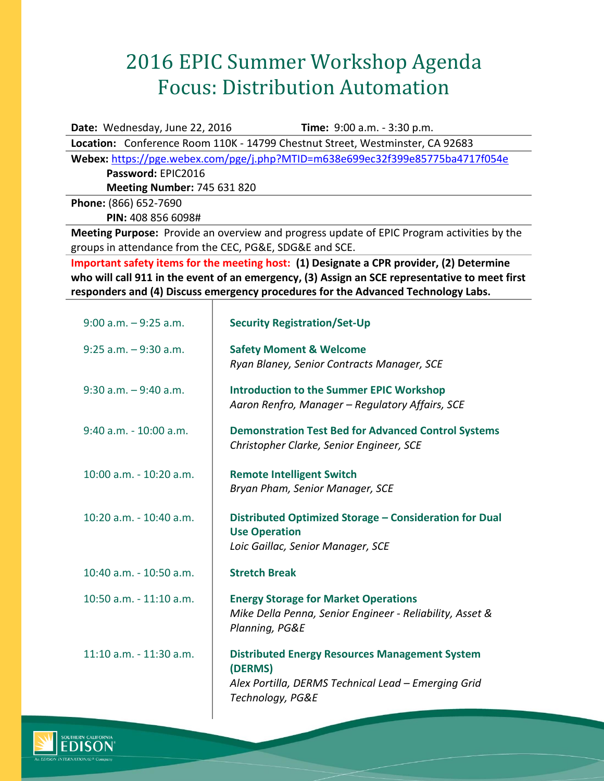## 2016 EPIC Summer Workshop Agenda Focus: Distribution Automation

**Date:** Wednesday, June 22, 2016 **Time:** 9:00 a.m. - 3:30 p.m.

**Location:** Conference Room 110K - 14799 Chestnut Street, Westminster, CA 92683

**Webex:** <https://pge.webex.com/pge/j.php?MTID=m638e699ec32f399e85775ba4717f054e> **Password:** EPIC2016

**Meeting Number:** 745 631 820

**Phone:** (866) 652-7690 **PIN:** 408 856 6098#

**Meeting Purpose:** Provide an overview and progress update of EPIC Program activities by the groups in attendance from the CEC, PG&E, SDG&E and SCE.

**Important safety items for the meeting host: (1) Designate a CPR provider, (2) Determine who will call 911 in the event of an emergency, (3) Assign an SCE representative to meet first responders and (4) Discuss emergency procedures for the Advanced Technology Labs.**

| $9:00$ a.m. $-9:25$ a.m.    | <b>Security Registration/Set-Up</b>                                                                                                         |
|-----------------------------|---------------------------------------------------------------------------------------------------------------------------------------------|
| $9:25$ a.m. $-9:30$ a.m.    | <b>Safety Moment &amp; Welcome</b><br>Ryan Blaney, Senior Contracts Manager, SCE                                                            |
| $9:30$ a.m. $-9:40$ a.m.    | <b>Introduction to the Summer EPIC Workshop</b><br>Aaron Renfro, Manager - Regulatory Affairs, SCE                                          |
| 9:40 a.m. - 10:00 a.m.      | <b>Demonstration Test Bed for Advanced Control Systems</b><br>Christopher Clarke, Senior Engineer, SCE                                      |
| $10:00$ a.m. $-10:20$ a.m.  | <b>Remote Intelligent Switch</b><br>Bryan Pham, Senior Manager, SCE                                                                         |
| 10:20 a.m. - 10:40 a.m.     | Distributed Optimized Storage - Consideration for Dual<br><b>Use Operation</b><br>Loic Gaillac, Senior Manager, SCE                         |
| 10:40 a.m. - 10:50 a.m.     | <b>Stretch Break</b>                                                                                                                        |
| $10:50$ a.m. $-11:10$ a.m.  | <b>Energy Storage for Market Operations</b><br>Mike Della Penna, Senior Engineer - Reliability, Asset &<br>Planning, PG&E                   |
| $11:10$ a.m. - $11:30$ a.m. | <b>Distributed Energy Resources Management System</b><br>(DERMS)<br>Alex Portilla, DERMS Technical Lead - Emerging Grid<br>Technology, PG&E |